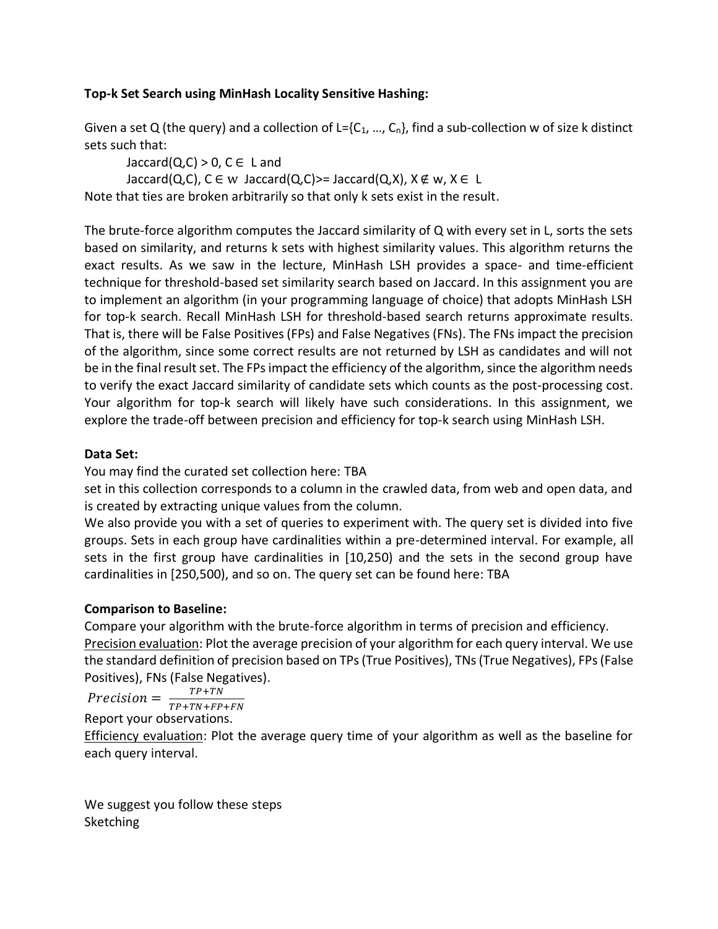## **Top-k Set Search using MinHash Locality Sensitive Hashing:**

Given a set Q (the query) and a collection of L= $\{C_1, ..., C_n\}$ , find a sub-collection w of size k distinct sets such that:

 $Jaccard(Q,C) > 0$ ,  $C \in L$  and Jaccard(Q,C),  $C \in W$  Jaccard(Q,C)>= Jaccard(Q,X),  $X \notin W$ ,  $X \in L$ Note that ties are broken arbitrarily so that only k sets exist in the result.

The brute-force algorithm computes the Jaccard similarity of Q with every set in L, sorts the sets based on similarity, and returns k sets with highest similarity values. This algorithm returns the exact results. As we saw in the lecture, MinHash LSH provides a space- and time-efficient technique for threshold-based set similarity search based on Jaccard. In this assignment you are to implement an algorithm (in your programming language of choice) that adopts MinHash LSH for top-k search. Recall MinHash LSH for threshold-based search returns approximate results. That is, there will be False Positives (FPs) and False Negatives (FNs). The FNs impact the precision of the algorithm, since some correct results are not returned by LSH as candidates and will not be in the final result set. The FPs impact the efficiency of the algorithm, since the algorithm needs to verify the exact Jaccard similarity of candidate sets which counts as the post-processing cost. Your algorithm for top-k search will likely have such considerations. In this assignment, we explore the trade-off between precision and efficiency for top-k search using MinHash LSH.

## **Data Set:**

You may find the curated set collection here: TBA

set in this collection corresponds to a column in the crawled data, from web and open data, and is created by extracting unique values from the column.

We also provide you with a set of queries to experiment with. The query set is divided into five groups. Sets in each group have cardinalities within a pre-determined interval. For example, all sets in the first group have cardinalities in [10,250) and the sets in the second group have cardinalities in [250,500), and so on. The query set can be found here: TBA

## **Comparison to Baseline:**

Compare your algorithm with the brute-force algorithm in terms of precision and efficiency. Precision evaluation: Plot the average precision of your algorithm for each query interval. We use the standard definition of precision based on TPs (True Positives), TNs (True Negatives), FPs(False Positives), FNs (False Negatives).

Precision  $=\frac{TP+TN}{TP+TN+FP}$  $TP+TN+FP+FN$ 

Report your observations.

Efficiency evaluation: Plot the average query time of your algorithm as well as the baseline for each query interval.

We suggest you follow these steps **Sketching**